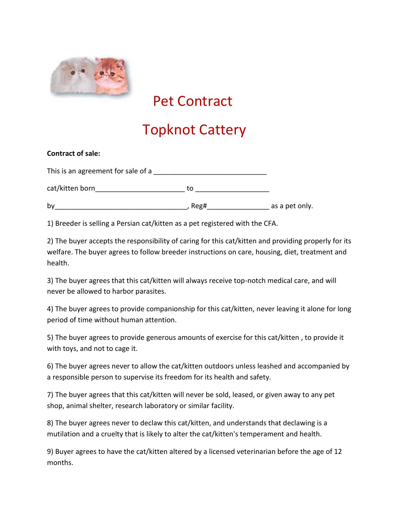

## Pet Contract

## Topknot Cattery

| <b>Contract of sale:</b>           |      |                |
|------------------------------------|------|----------------|
| This is an agreement for sale of a |      |                |
| cat/kitten born                    | to   |                |
| by                                 | Reg# | as a pet only. |

1) Breeder is selling a Persian cat/kitten as a pet registered with the CFA.

2) The buyer accepts the responsibility of caring for this cat/kitten and providing properly for its welfare. The buyer agrees to follow breeder instructions on care, housing, diet, treatment and health.

3) The buyer agrees that this cat/kitten will always receive top-notch medical care, and will never be allowed to harbor parasites.

4) The buyer agrees to provide companionship for this cat/kitten, never leaving it alone for long period of time without human attention.

5) The buyer agrees to provide generous amounts of exercise for this cat/kitten , to provide it with toys, and not to cage it.

6) The buyer agrees never to allow the cat/kitten outdoors unless leashed and accompanied by a responsible person to supervise its freedom for its health and safety.

7) The buyer agrees that this cat/kitten will never be sold, leased, or given away to any pet shop, animal shelter, research laboratory or similar facility.

8) The buyer agrees never to declaw this cat/kitten, and understands that declawing is a mutilation and a cruelty that is likely to alter the cat/kitten's temperament and health.

9) Buyer agrees to have the cat/kitten altered by a licensed veterinarian before the age of 12 months.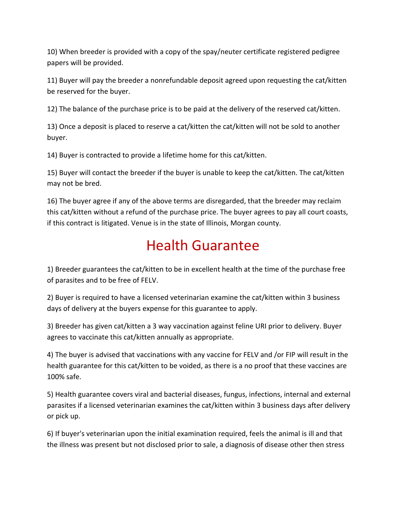10) When breeder is provided with a copy of the spay/neuter certificate registered pedigree papers will be provided.

11) Buyer will pay the breeder a nonrefundable deposit agreed upon requesting the cat/kitten be reserved for the buyer.

12) The balance of the purchase price is to be paid at the delivery of the reserved cat/kitten.

13) Once a deposit is placed to reserve a cat/kitten the cat/kitten will not be sold to another buyer.

14) Buyer is contracted to provide a lifetime home for this cat/kitten.

15) Buyer will contact the breeder if the buyer is unable to keep the cat/kitten. The cat/kitten may not be bred.

16) The buyer agree if any of the above terms are disregarded, that the breeder may reclaim this cat/kitten without a refund of the purchase price. The buyer agrees to pay all court coasts, if this contract is litigated. Venue is in the state of Illinois, Morgan county.

## Health Guarantee

1) Breeder guarantees the cat/kitten to be in excellent health at the time of the purchase free of parasites and to be free of FELV.

2) Buyer is required to have a licensed veterinarian examine the cat/kitten within 3 business days of delivery at the buyers expense for this guarantee to apply.

3) Breeder has given cat/kitten a 3 way vaccination against feline URI prior to delivery. Buyer agrees to vaccinate this cat/kitten annually as appropriate.

4) The buyer is advised that vaccinations with any vaccine for FELV and /or FIP will result in the health guarantee for this cat/kitten to be voided, as there is a no proof that these vaccines are 100% safe.

5) Health guarantee covers viral and bacterial diseases, fungus, infections, internal and external parasites if a licensed veterinarian examines the cat/kitten within 3 business days after delivery or pick up.

6) If buyer's veterinarian upon the initial examination required, feels the animal is ill and that the illness was present but not disclosed prior to sale, a diagnosis of disease other then stress